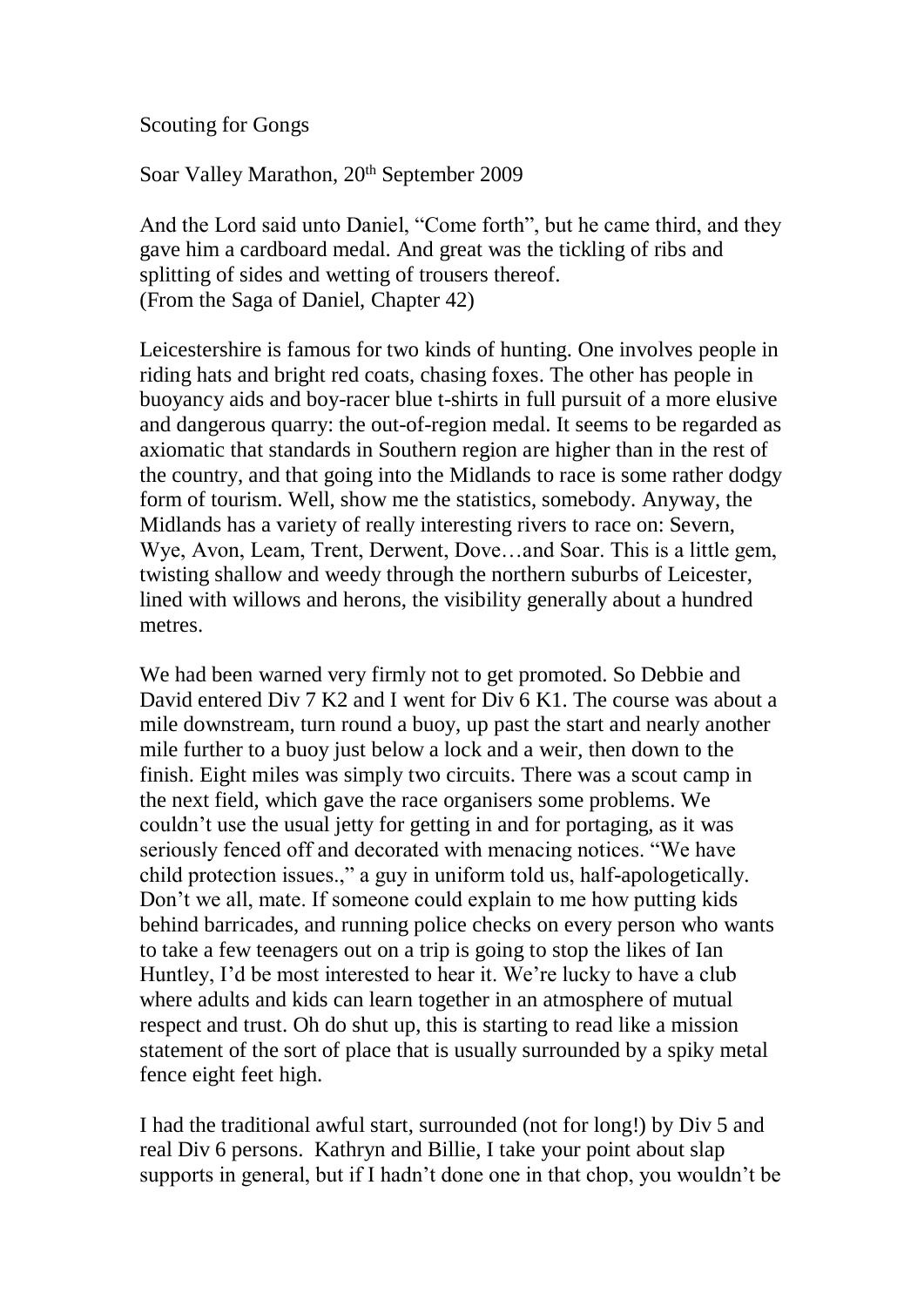Scouting for Gongs

Soar Valley Marathon, 20<sup>th</sup> September 2009

And the Lord said unto Daniel, "Come forth", but he came third, and they gave him a cardboard medal. And great was the tickling of ribs and splitting of sides and wetting of trousers thereof. (From the Saga of Daniel, Chapter 42)

Leicestershire is famous for two kinds of hunting. One involves people in riding hats and bright red coats, chasing foxes. The other has people in buoyancy aids and boy-racer blue t-shirts in full pursuit of a more elusive and dangerous quarry: the out-of-region medal. It seems to be regarded as axiomatic that standards in Southern region are higher than in the rest of the country, and that going into the Midlands to race is some rather dodgy form of tourism. Well, show me the statistics, somebody. Anyway, the Midlands has a variety of really interesting rivers to race on: Severn, Wye, Avon, Leam, Trent, Derwent, Dove…and Soar. This is a little gem, twisting shallow and weedy through the northern suburbs of Leicester, lined with willows and herons, the visibility generally about a hundred metres.

We had been warned very firmly not to get promoted. So Debbie and David entered Div 7 K2 and I went for Div 6 K1. The course was about a mile downstream, turn round a buoy, up past the start and nearly another mile further to a buoy just below a lock and a weir, then down to the finish. Eight miles was simply two circuits. There was a scout camp in the next field, which gave the race organisers some problems. We couldn't use the usual jetty for getting in and for portaging, as it was seriously fenced off and decorated with menacing notices. "We have child protection issues.," a guy in uniform told us, half-apologetically. Don't we all, mate. If someone could explain to me how putting kids behind barricades, and running police checks on every person who wants to take a few teenagers out on a trip is going to stop the likes of Ian Huntley, I'd be most interested to hear it. We're lucky to have a club where adults and kids can learn together in an atmosphere of mutual respect and trust. Oh do shut up, this is starting to read like a mission statement of the sort of place that is usually surrounded by a spiky metal fence eight feet high.

I had the traditional awful start, surrounded (not for long!) by Div 5 and real Div 6 persons. Kathryn and Billie, I take your point about slap supports in general, but if I hadn't done one in that chop, you wouldn't be